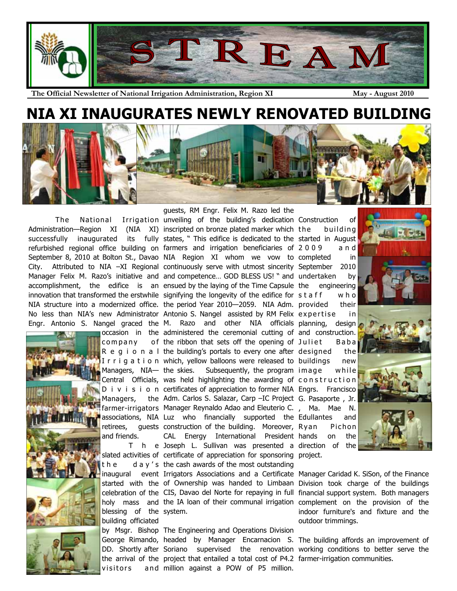

**The Official Newsletter of National Irrigation Administration, Region XI May - August 2010** 

## **NIA XI INAUGURATES NEWLY RENOVATED BUILDING**





c o m p a n v Managers, retirees, and friends.

blessing of the system. building officiated

visitors

 The National Irrigation unveiling of the building's dedication Construction of Administration—Region XI (NIA XI) inscripted on bronze plated marker which successfully inaugurated its fully states, " This edifice is dedicated to the started in August refurbished regional office building on farmers and irrigation beneficiaries of 2 0 0 9 a n d September 8, 2010 at Bolton St., Davao NIA Region XI whom we vow to completed in City. Attributed to NIA -XI Regional continuously serve with utmost sincerity September 2010 Manager Felix M. Razo's initiative and and competence... GOD BLESS US! " and undertaken by accomplishment, the edifice is an ensued by the laying of the Time Capsule innovation that transformed the erstwhile signifying the longevity of the edifice for staff who NIA structure into a modernized office. the period Year 2010—2059. NIA Adm. provided their No less than NIA's new Administrator Antonio S. Nangel assisted by RM Felix expertise in Engr. Antonio S. Nangel graced the M. Razo and other NIA officials planning, design occasion in the administered the ceremonial cutting of and construction. R e g i o n a I the building's portals to every one after designed the I r r i g a t i o n which, yellow balloons were released to buildings new Managers, NIA— the skies. Subsequently, the program image while Central Officials, was held highlighting the awarding of construction D i v i s i o n certificates of appreciation to former NIA Engrs. Francisco farmer-irrigators Manager Reynaldo Adao and Eleuterio C. , Ma. Mae N. associations, NIA Luz who financially supported the Edullantes and T h e Joseph L. Sullivan was presented a direction of the slated activities of certificate of appreciation for sponsoring project. t h e d a y ' s the cash awards of the most outstanding guests, RM Engr. Felix M. Razo led the the ribbon that sets off the opening of Juliet Baba Adm. Carlos S. Salazar, Carp –IC Project G. Pasaporte , Jr. guests construction of the building. Moreover, Ryan CAL Energy International President hands on the

inaugural event Irrigators Associations and a Certificate Manager Caridad K. SiSon, of the Finance started with the of Ownership was handed to Limbaan Division took charge of the buildings celebration of the CIS, Davao del Norte for repaying in full financial support system. Both managers holy mass and the IA loan of their communal irrigation complement on the provision of the

by Msgr. Bishop The Engineering and Operations Division George Rimando, headed by Manager Encarnacion S. The building affords an improvement of DD. Shortly after Soriano supervised the renovation working conditions to better serve the the arrival of the project that entailed a total cost of P4.2 farmer-irrigation communities. and million against a POW of P5 million.

building engineering Pichon



indoor furniture's and fixture and the outdoor trimmings.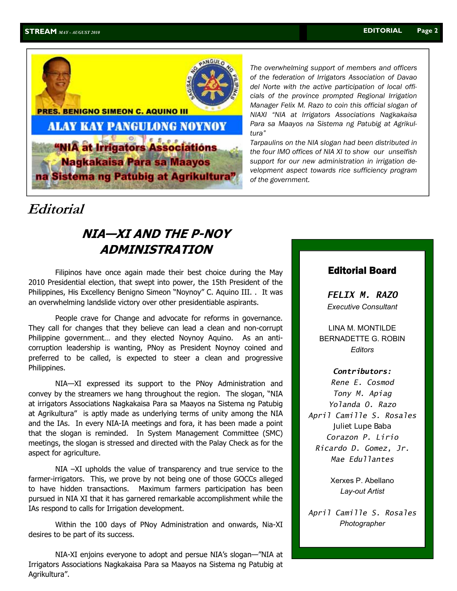

*The overwhelming support of members and officers of the federation of Irrigators Association of Davao del Norte with the active participation of local officials of the province prompted Regional Irrigation Manager Felix M. Razo to coin this official slogan of NIAXI "NIA at Irrigators Associations Nagkakaisa Para sa Maayos na Sistema ng Patubig at Agrikultura"* 

*Tarpaulins on the NIA slogan had been distributed in the four IMO offices of NIA XI to show our unselfish support for our new administration in irrigation development aspect towards rice sufficiency program of the government.* 

### **Editorial**

### **NIA—XI AND THE P-NOY ADMINISTRATION**

 Filipinos have once again made their best choice during the May 2010 Presidential election, that swept into power, the 15th President of the Philippines, His Excellency Benigno Simeon "Noynoy" C. Aquino III. . It was an overwhelming landslide victory over other presidentiable aspirants.

 People crave for Change and advocate for reforms in governance. They call for changes that they believe can lead a clean and non-corrupt Philippine government… and they elected Noynoy Aquino. As an anticorruption leadership is wanting, PNoy as President Noynoy coined and preferred to be called, is expected to steer a clean and progressive Philippines.

 NIA—XI expressed its support to the PNoy Administration and convey by the streamers we hang throughout the region. The slogan, "NIA at irrigators Associations Nagkakaisa Para sa Maayos na Sistema ng Patubig at Agrikultura" is aptly made as underlying terms of unity among the NIA and the IAs. In every NIA-IA meetings and fora, it has been made a point that the slogan is reminded. In System Management Committee (SMC) meetings, the slogan is stressed and directed with the Palay Check as for the aspect for agriculture.

 NIA –XI upholds the value of transparency and true service to the farmer-irrigators. This, we prove by not being one of those GOCCs alleged to have hidden transactions. Maximum farmers participation has been pursued in NIA XI that it has garnered remarkable accomplishment while the IAs respond to calls for Irrigation development.

 Within the 100 days of PNoy Administration and onwards, Nia-XI desires to be part of its success.

 NIA-XI enjoins everyone to adopt and persue NIA's slogan—"NIA at Irrigators Associations Nagkakaisa Para sa Maayos na Sistema ng Patubig at Agrikultura".

#### Editorial Board

*FELIX M. RAZO Executive Consultant* 

LINA M. MONTILDE BERNADETTE G. ROBIN *Editors* 

#### *Contributors:*

*Rene E. Cosmod Tony M. Apiag Yolanda O. Razo April Camille S. Rosales*  Juliet Lupe Baba *Corazon P. Lirio Ricardo D. Gomez, Jr. Mae Edullantes* 

> Xerxes P. Abellano *Lay-out Artist*

*April Camille S. Rosales Photographer*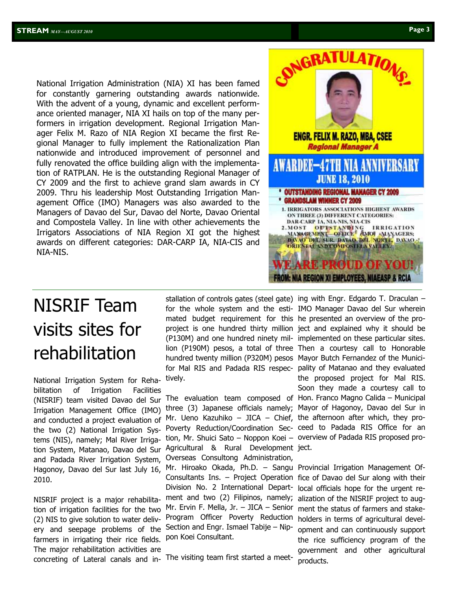National Irrigation Administration (NIA) XI has been famed for constantly garnering outstanding awards nationwide. With the advent of a young, dynamic and excellent performance oriented manager, NIA XI hails on top of the many performers in irrigation development. Regional Irrigation Manager Felix M. Razo of NIA Region XI became the first Regional Manager to fully implement the Rationalization Plan nationwide and introduced improvement of personnel and fully renovated the office building align with the implementation of RATPLAN. He is the outstanding Regional Manager of CY 2009 and the first to achieve grand slam awards in CY 2009. Thru his leadership Most Outstanding Irrigation Management Office (IMO) Managers was also awarded to the Managers of Davao del Sur, Davao del Norte, Davao Oriental and Compostela Valley. In line with other achievements the Irrigators Associations of NIA Region XI got the highest awards on different categories: DAR-CARP IA, NIA-CIS and NIA-NIS.



## NISRIF Team visits sites for rehabilitation

National Irrigation System for Rehabilitation of Irrigation Facilities (NISRIF) team visited Davao del Sur Irrigation Management Office (IMO) and conducted a project evaluation of the two (2) National Irrigation Systems (NIS), namely; Mal River Irrigation System, Matanao, Davao del Sur and Padada River Irrigation System, Hagonoy, Davao del Sur last July 16, 2010.

NISRIF project is a major rehabilitation of irrigation facilities for the two (2) NIS to give solution to water delivery and seepage problems of the farmers in irrigating their rice fields. The major rehabilitation activities are concreting of Lateral canals and in-The visiting team first started a meet-

mated budget requirement for this he presented an overview of the prohundred twenty million (P320M) pesos Mayor Butch Fernandez of the Municitively.

Mr. Ueno Kazuhiko – JICA – Chief, the afternoon after which, they protion, Mr. Shuici Sato – Noppon Koei – overview of Padada RIS proposed pro-Agricultural & Rural Development ject. Overseas Consultong Administration, Mr. Hiroako Okada, Ph.D. – Sangu Provincial Irrigation Management Of-Consultants Ins. – Project Operation fice of Davao del Sur along with their Division No. 2 International Department and two (2) Filipinos, namely; Mr. Ervin F. Mella, Jr. – JICA – Senior Program Officer Poverty Reduction Section and Engr. Ismael Tabije – Nippon Koei Consultant.

stallation of controls gates (steel gate) ing with Engr. Edgardo T. Draculan – for the whole system and the esti-IMO Manager Davao del Sur wherein project is one hundred thirty million ject and explained why it should be (P130M) and one hundred ninety mil-implemented on these particular sites. lion (P190M) pesos, a total of three Then a courtesy call to Honorable for Mal RIS and Padada RIS respec-pality of Matanao and they evaluated The evaluation team composed of Hon. Franco Magno Calida – Municipal three (3) Japanese officials namely; Mayor of Hagonoy, Davao del Sur in Poverty Reduction/Coordination Sec-ceed to Padada RIS Office for an the proposed project for Mal RIS. Soon they made a courtesy call to

> local officials hope for the urgent realization of the NISRIF project to augment the status of farmers and stakeholders in terms of agricultural development and can continuously support the rice sufficiency program of the government and other agricultural products.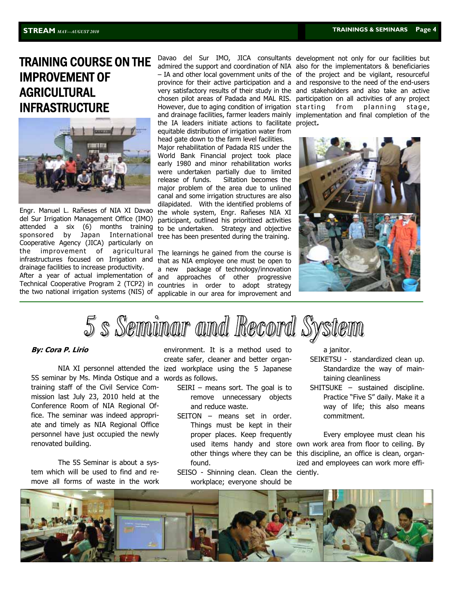## TRAINING COURSE ON THE IMPROVEMENT OF AGRICULTURAL INFRASTRUCTURE



Engr. Manuel L. Rañeses of NIA XI Davao del Sur Irrigation Management Office (IMO) attended a six (6) months training sponsored by Japan International Cooperative Agency (JICA) particularly on the improvement of agricultural infrastructures focused on Irrigation and drainage facilities to increase productivity. After a year of actual implementation of Technical Cooperative Program 2 (TCP2) in the two national irrigation systems (NIS) of applicable in our area for improvement and

the IA leaders initiate actions to facilitate project**.**equitable distribution of irrigation water from head gate down to the farm level facilities.

Major rehabilitation of Padada RIS under the World Bank Financial project took place early 1980 and minor rehabilitation works were undertaken partially due to limited release of funds. Siltation becomes the major problem of the area due to unlined canal and some irrigation structures are also dilapidated. With the identified problems of the whole system, Engr. Rañeses NIA XI participant, outlined his prioritized activities to be undertaken. Strategy and objective tree has been presented during the training.

The learnings he gained from the course is that as NIA employee one must be open to a new package of technology/innovation and approaches of other progressive countries in order to adopt strategy

Davao del Sur IMO, JICA consultants development not only for our facilities but admired the support and coordination of NIA also for the implementators & beneficiaries – IA and other local government units of the of the project and be vigilant, resourceful province for their active participation and a and responsive to the need of the end-users very satisfactory results of their study in the and stakeholders and also take an active chosen pilot areas of Padada and MAL RIS. participation on all activities of any project However, due to aging condition of irrigation starting from planning stage, and drainage facilities, farmer leaders mainly implementation and final completion of the



5 s Seminar and Record Syst

#### **By: Cora P. Lirio**

5S seminar by Ms. Minda Ostique and a words as follows. training staff of the Civil Service Commission last July 23, 2010 held at the Conference Room of NIA Regional Office. The seminar was indeed appropriate and timely as NIA Regional Office personnel have just occupied the newly renovated building.

 The 5S Seminar is about a system which will be used to find and remove all forms of waste in the work

 NIA XI personnel attended the ized workplace using the 5 Japanese environment. It is a method used to create safer, cleaner and better organ-

- SEIRI means sort. The goal is to remove unnecessary objects and reduce waste.
- SEITON means set in order. Things must be kept in their proper places. Keep frequently found.
- SEISO Shinning clean. Clean the ciently. workplace; everyone should be

a janitor.

- SEIKETSU standardized clean up. Standardize the way of maintaining cleanliness
- SHITSUKE sustained discipline. Practice "Five S" daily. Make it a way of life; this also means commitment.

used items handy and store own work area from floor to ceiling. By other things where they can be this discipline, an office is clean, organ- Every employee must clean his ized and employees can work more effi-

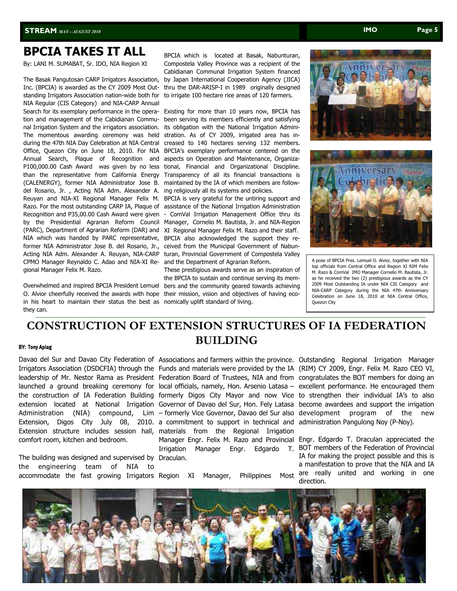## **BPCIA TAKES IT ALL**

By: LANI M. SUMABAT, Sr. IDO, NIA Region XI

The Basak Pangutosan CARP Irrigators Association, Inc. (BPCIA) is awarded as the CY 2009 Most Outstanding Irrigators Association nation-wide both for NIA Regular (CIS Category) and NIA-CARP Annual Search for its exemplary performance in the operation and management of the Cabidianan Communal Irrigation System and the irrigators association. The momentous awarding ceremony was held during the 47th NIA Day Celebration at NIA Central Office, Quezon City on June 18, 2010. For NIA Annual Search, Plaque of Recognition and P100,000.00 Cash Award was given by no less than the representative from California Energy (CALENERGY), former NIA Administrator Jose B. del Rosario, Jr. , Acting NIA Adm. Alexander A. Reuyan and NIA-XI Regional Manager Felix M. Razo. For the most outstanding CARP IA, Plaque of Recognition and P35,00.00 Cash Award were given by the Presidential Agrarian Reform Council (PARC), Department of Agrarian Reform (DAR) and NIA which was handed by PARC representative, former NIA Administrator Jose B. del Rosario, Jr., Acting NIA Adm. Alexander A. Reuyan, NIA-CARP CPMO Manager Reynaldo C. Adao and NIA-XI Regional Manager Felix M. Razo.

Overwhelmed and inspired BPCIA President Lemuel O. Alvior cheerfully received the awards with hope their mission, vision and objectives of having ecoin his heart to maintain their status the best as nomically uplift standard of living. they can.

BPCIA which is located at Basak, Nabunturan, Compostela Valley Province was a recipient of the Cabidianan Communal Irrigation System financed by Japan International Cooperation Agency (JICA) thru the DAR-ARISP-I in 1989 originally designed to irrigate 100 hectare rice areas of 120 farmers.

Existing for more than 10 years now, BPCIA has been serving its members efficiently and satisfying its obligation with the National Irrigation Administration. As of CY 2009, irrigated area has increased to 140 hectares serving 132 members. BPCIA's exemplary performance centered on the aspects on Operation and Maintenance, Organizational, Financial and Organizational Discipline. Transparency of all its financial transactions is maintained by the IA of which members are following religiously all its systems and policies.

BPCIA is very grateful for the untiring support and assistance of the National Irrigation Administration ComVal Irrigation Management Office thru its Manager, Cornelio M. Bautista, Jr. and NIA-Region XI Regional Manager Felix M. Razo and their staff. BPCIA also acknowledged the support they received from the Municipal Government of Nabunturan, Provincial Government of Compostela Valley and the Department of Agrarian Reform.

These prestigious awards serve as an inspiration of the BPCIA to sustain and continue serving its members and the community geared towards achieving





A pose of BPCIA Pres. Lemuel O. Alvior, together with NIA top officials from Central Office and Region XI RIM Felix M. Razo & ComVal IMO Manager Cornelio M. Bautista, Jr. as he received the two (2) prestigious awards as the CY 2009 Most Outstanding IA under NIA CIS Category and NIA-CARP Category during the NIA 47th Anniversary Celebration on June 18, 2010 at NIA Central Office, Quezon City

#### BY: Tony Apiag **CONSTRUCTION OF EXTENSION STRUCTURES OF IA FEDERATION BUILDING**

comfort room, kitchen and bedroom.

The building was designed and supervised by Draculan. the engineering team of NIA to accommodate the fast growing Irrigators Region XI Manager, Philippines Most

Extension, Digos City July 08, 2010. a commitment to support in technical and administration-Pangulong-Noy (P-Noy). Extension structure includes session hall, materials from the Regional Irrigation

Davao del Sur and Davao City Federation of Associations and farmers within the province. Outstanding Regional Irrigation Manager Irrigators Association (DSDCFIA) through the Funds and materials were provided by the IA (RIM) CY 2009, Engr. Felix M. Razo CEO VI, leadership of Mr. Nestor Rama as President Federation Board of Trustees, NIA and from congratulates the BOT members for doing an launched a ground breaking ceremony for local officials, namely, Hon. Arsenio Latasa – excellent performance. He encouraged them the construction of IA Federation Building formerly Digos City Mayor and now Vice to strengthen their individual IA's to also extension located at National Irrigation Governor of Davao del Sur, Hon. Fely Latasa become awardees and support the irrigation Administration (NIA) compound, Lim – formerly Vice Governor, Davao del Sur-also development program of the new

> Manager Engr. Felix M. Razo and Provincial Engr. Edgardo T. Draculan appreciated the Irrigation Manager Engr. Edgardo T. BOT members of the Federation of Provincial IA for making the project possible and this is a manifestation to prove that the NIA and IA are really united and working in one direction.

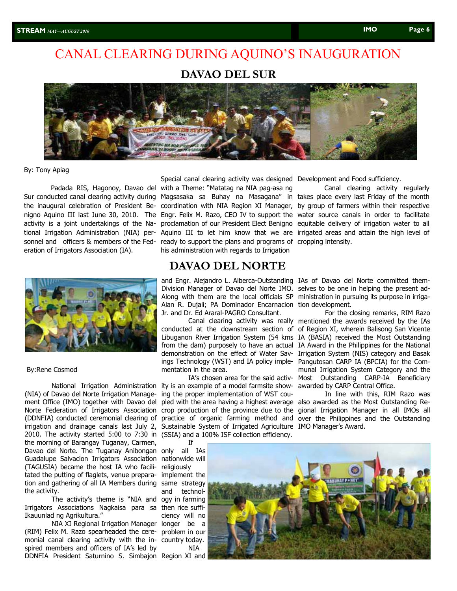## CANAL CLEARING DURING AQUINO'S INAUGURATION

#### **DAVAO DEL SUR**



#### By: Tony Apiag

 Padada RIS, Hagonoy, Davao del Sur conducted canal clearing activity during activity is a joint undertakings of the National Irrigation Administration (NIA) pereration of Irrigators Association (IA).



#### By:Rene Cosmod

National Irrigation Administration (NIA) of Davao del Norte Irrigation Management Office (IMO) together with Davao del Norte Federation of Irrigators Association crop production of the province due to the gional Irrigation Manager in all IMOs all (DDNFIA) conducted ceremonial clearing of practice of organic farming method and over the Philippines and the Outstanding irrigation and drainage canals last July 2, Sustainable System of Irrigated Agriculture IMO Manager's Award. 2010. The activity started 5:00 to 7:30 in (SSIA) and a 100% ISF collection efficiency. the morning of Barangay Tuganay, Carmen, Davao del Norte. The Tuganay Anibongan only all IAs Guadalupe Salvacion Irrigators Association nationwide will (TAGUSIA) became the host IA who facili-religiously tated the putting of flaglets, venue prepara-implement the tion and gathering of all IA Members during same strategy the activity.

The activity's theme is "NIA and ogy in farming Irrigators Associations Nagkaisa para sa then rice suffi-Ikauunlad ng Agrikultura."

NIA XI Regional Irrigation Manager longer be a (RIM) Felix M. Razo spearheaded the cere-problem in our monial canal clearing activity with the in-country today. spired members and officers of IA's led by DDNFIA President Saturnino S. Simbajon Region XI and

sonnel and officers & members of the Fed- ready to support the plans and programs of cropping intensity. Special canal clearing activity was designed Development and Food sufficiency. with a Theme: "Matatag na NIA pag-asa ng his administration with regards to Irrigation

#### **DAVAO DEL NORTE**

and Engr. Alejandro L. Alberca-Outstanding IAs of Davao del Norte committed them-Division Manager of Davao del Norte IMO. selves to be one in helping the present ad-Along with them are the local officials SP ministration in pursuing its purpose in irriga-Alan R. Dujali; PA Dominador Encarnacion tion development. Jr. and Dr. Ed Araral-PAGRO Consultant.

conducted at the downstream section of from the dam) purposely to have an actual demonstration on the effect of Water Savings Technology (WST) and IA policy implementation in the area.

IA's chosen area for the said activity is an example of a model farmsite showing the proper implementation of WST cou-

the inaugural celebration of President Be- coordination with NIA Region XI Manager, by group of farmers within their respective nigno Aquino III last June 30, 2010. The Engr. Felix M. Razo, CEO IV to support the water source canals in order to facilitate Magsasaka sa Buhay na Masagana" in takes place every last Friday of the month proclamation of our President Elect Benigno equitable delivery of irrigation water to all Aquino III to let him know that we are irrigated areas and attain the high level of Canal clearing activity regularly

Canal clearing activity was really mentioned the awards received by the IAs Libuganon River Irrigation System (54 kms IA (BASIA) received the Most Outstanding For the closing remarks, RIM Razo of Region XI, wherein Balisong San Vicente IA Award in the Philippines for the National Irrigation System (NIS) category and Basak Pangutosan CARP IA (BPCIA) for the Communal Irrigation System Category and the Most Outstanding CARP-IA Beneficiary awarded by CARP Central Office.

pled with the area having a highest average also awarded as the Most Outstanding Re-In line with this, RIM Razo was

and technolciency will no NIA

If

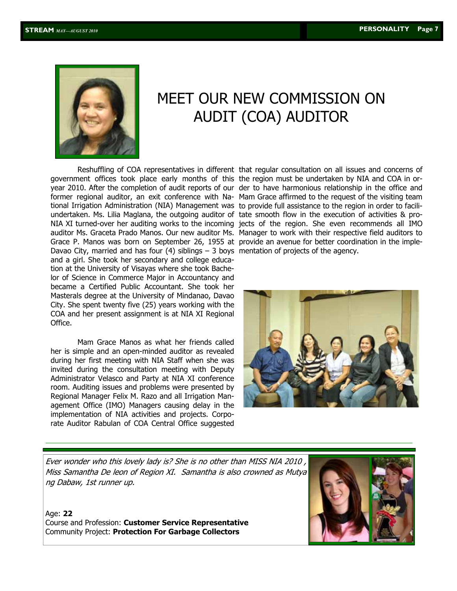

## MEET OUR NEW COMMISSION ON AUDIT (COA) AUDITOR

 Reshuffling of COA representatives in different that regular consultation on all issues and concerns of government offices took place early months of this the region must be undertaken by NIA and COA in ortional Irrigation Administration (NIA) Management was to provide full assistance to the region in order to faciliundertaken. Ms. Lilia Maglana, the outgoing auditor of tate smooth flow in the execution of activities & pro-Grace P. Manos was born on September 26, 1955 at provide an avenue for better coordination in the imple-Davao City, married and has four (4) siblings – 3 boys mentation of projects of the agency. and a girl. She took her secondary and college education at the University of Visayas where she took Bachelor of Science in Commerce Major in Accountancy and became a Certified Public Accountant. She took her Masterals degree at the University of Mindanao, Davao City. She spent twenty five (25) years working with the COA and her present assignment is at NIA XI Regional Office.

 Mam Grace Manos as what her friends called her is simple and an open-minded auditor as revealed during her first meeting with NIA Staff when she was invited during the consultation meeting with Deputy Administrator Velasco and Party at NIA XI conference room. Auditing issues and problems were presented by Regional Manager Felix M. Razo and all Irrigation Management Office (IMO) Managers causing delay in the implementation of NIA activities and projects. Corporate Auditor Rabulan of COA Central Office suggested

year 2010. After the completion of audit reports of our der to have harmonious relationship in the office and former regional auditor, an exit conference with Na-Mam Grace affirmed to the request of the visiting team NIA XI turned-over her auditing works to the incoming jects of the region. She even recommends all IMO auditor Ms. Graceta Prado Manos. Our new auditor Ms. Manager to work with their respective field auditors to



Ever wonder who this lovely lady is? She is no other than MISS NIA 2010 , Miss Samantha De leon of Region XI. Samantha is also crowned as Mutya ng Dabaw, 1st runner up.

Age: **22** Course and Profession: **Customer Service Representative** Community Project: **Protection For Garbage Collectors**

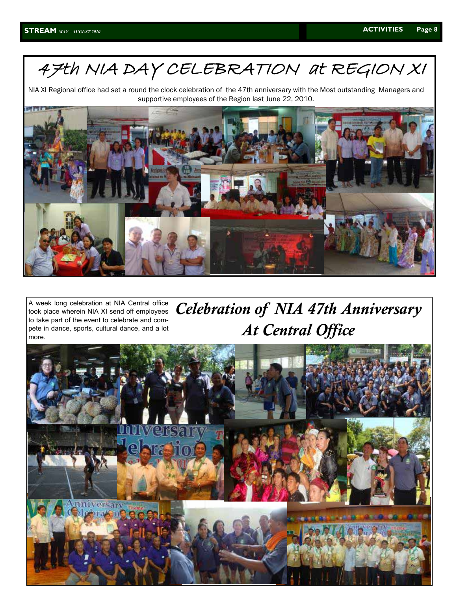## 47th NIA DAY CELEBRATION at REGION XI

NIA XI Regional office had set a round the clock celebration of the 47th anniversary with the Most outstanding Managers and supportive employees of the Region last June 22, 2010.



A week long celebration at NIA Central office took place wherein NIA XI send off employees to take part of the event to celebrate and compete in dance, sports, cultural dance, and a lot more.

*Celebration of NIA 47th Anniversary At Central Office* 

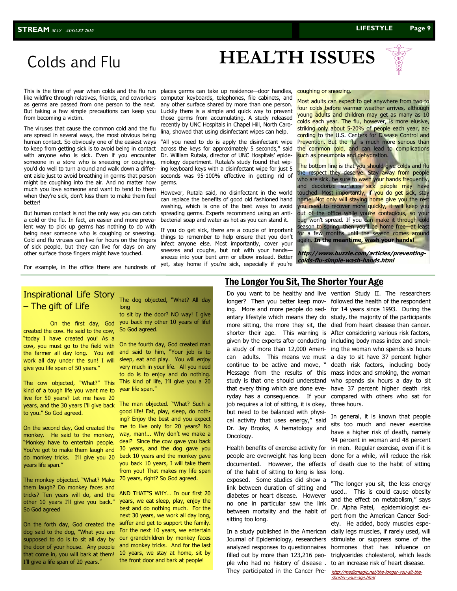# **HEALTH ISSUES**

## Colds and Flu

This is the time of year when colds and the flu run like wildfire through relatives, friends, and coworkers But taking a few simple precautions can keep you from becoming a victim.

The viruses that cause the common cold and the flu are spread in several ways, the most obvious being human contact. So obviously one of the easiest ways to keep from getting sick is to avoid being in contact with anyone who is sick. Even if you encounter someone in a store who is sneezing or coughing, you'd do well to turn around and walk down a different aisle just to avoid breathing in germs that person might be coughing into the air. And no matter how much you love someone and want to tend to them when they're sick, don't kiss them to make them feel better!

But human contact is not the only way you can catch a cold or the flu. In fact, an easier and more prevalent way to pick up germs has nothing to do with being near someone who is coughing or sneezing. Cold and flu viruses can live for hours on the fingers of sick people, but they can live for days on any other surface those fingers might have touched.

For example, in the office there are hundreds of

as germs are passed from one person to the next. any other surface shared by more than one person. places germs can take up residence—door handles, computer keyboards, telephones, file cabinets, and Luckily there is a simple and quick way to prevent those germs from accumulating. A study released recently by UNC Hospitals in Chapel Hill, North Carolina, showed that using disinfectant wipes can help.

> "All you need to do is apply the disinfectant wipe across the keys for approximately 5 seconds," said Dr. William Rutala, director of UNC Hospitals' epidemiology department. Rutala's study found that wiping keyboard keys with a disinfectant wipe for just 5 seconds was 95-100% effective in getting rid of germs.

> However, Rutala said, no disinfectant in the world can replace the benefits of good old fashioned hand washing, which is one of the best ways to avoid spreading germs. Experts recommend using an antibacterial soap and water as hot as you can stand it.

> If you do get sick, there are a couple of important things to remember to help ensure that you don't infect anyone else. Most importantly, cover your sneezes and coughs, but not with your hands sneeze into your bent arm or elbow instead. Better yet, stay home if you're sick, especially if you're

#### coughing or sneezing.

Most adults can expect to get anywhere from two to four colds before warmer weather arrives, although young adults and children may get as many as 10 colds each year. The flu, however, is more elusive, striking only about 5-20% of people each year, according to the U.S. Centers for Disease Control and Prevention. But the flu is much more serious than the common cold, and can lead to complications such as pneumonia and dehydration.

The bottom line is that you should give colds and flu the respect they deserve. Stay away from people who are sick, be sure to wash your hands frequently, and deodorize surfaces sick people may have touched. Most importantly, if you do get sick, stay home! Not only will staying home give you the rest you need to recover more quickly, it will keep you out of the office while you're contagious, so your bug won't spread. If you can make it through cold season to spring, then you'll be home free—at least for a few months until the season comes around again. **In the meantime, wash your hands!**

**http://www.buzzle.com/articles/preventingcolds-flu-simple-wash-hands.html** 

#### Inspirational Life Story – The gift of Life

 On the first day, God created the cow. He said to the cow, "today I have created you! As a cow, you must go to the field with the farmer all day long. You will work all day under the sun! I will give you life span of 50 years."

kind of a tough life you want me to Year life span." live for 50 years? Let me have 20 years, and the 30 years I'll give back The man objected. "What? Such a to you." So God agreed.

On the second day, God created the monkey. He said to the monkey, "Monkey have to entertain people. You've got to make them laugh and do monkey tricks. I'll give you 20 years life span."

The monkey objected. "What? Make them laugh? Do monkey faces and tricks? Ten years will do, and the other 10 years I'll give you back." So God agreed

On the forth day, God created the dog said to the dog, "What you are supposed to do is to sit all day by the door of your house. Any people that come in, you will bark at them! I'll give a life span of 20 years."

#### The dog objected, "What? All day long

to sit by the door? NO way! I give you back my other 10 years of life! So God agreed.

The cow objected, "What?" This This kind of life, I'll give you a 20 On the fourth day, God created man and said to him, "Your job is to sleep, eat and play. You will enjoy very much in your life. All you need to do is to enjoy and do nothing.

> good life! Eat, play, sleep, do nothing? Enjoy the best and you expect me to live only for 20 years? No way, man!... Why don't we make a deal? Since the cow gave you back 30 years, and the dog gave you back 10 years and the monkey gave you back 10 years, I will take them from you! That makes my life span 70 years, right? So God agreed.

> AND THAT"S WHY… In our first 20 years, we eat sleep, play, enjoy the best and do nothing much. For the next 30 years, we work all day long, suffer and get to support the family. For the next 10 years, we entertain our grandchildren by monkey faces and monkey tricks. And for the last 10 years, we stay at home, sit by the front door and bark at people!

#### The Longer You Sit, The Shorter Your Age

Do you want to be healthy and live vention Study II. The researchers longer? Then you better keep mov-followed the health of the respondent ing. More and more people do sed-for 14 years since 1993. During the entary lifestyle which means they do study, the majority of the participants more sitting, the more they sit, the died from heart disease than cancer. shorter their age. This warning is After considering various risk factors, given by the experts after conducting including body mass index and smoka study of more than 12,000 Ameri-ing the woman who spends six hours can adults. This means we must a day to sit have 37 percent higher continue to be active and move, " death risk factors, including body Message from the results of this mass index and smoking, the woman study is that one should understand who spends six hours a day to sit that every thing which are done eve-have 37 percent higher death risk ryday has a consequence. If your compared with others who sat for job requires a lot of sitting, it is okey, three hours. but need to be balanced with physical activity that uses energy," said Dr. Jay Brooks, A hematology and Oncology.

Health benefits of exercise activity for people are overweight has long been documented. However, the effects of the habit of sitting to long is less exposed. Some studies did show a link between duration of sitting and diabetes or heart disease. However no one in particular saw the link between mortality and the habit of sitting too long.

In a study published in the American Journal of Epidemiology, researchers analyzed responses to questionnaires filled out by more than 123,216 people who had no history of disease . They participated in the Cancer Pre-

In general, it is known that people sits too much and never exercise have a higher risk of death, namely 94 percent in woman and 48 percent in men. Regular exercise, even if it is done for a while, will reduce the risk of death due to the habit of sitting long.

"The longer you sit, the less energy used.. This is could cause obesity and the effect on metabolism," says Dr. Alpha Patel, epidemiologist expert from the American Cancer Society. He added, body muscles especially legs muscles, if rarely used, will stimulate or suppress some of the hormones that has influence on triglycerides cholesterol, which leads to an increase risk of heart disease.

[http://medicmagic.net/the-longer-you-sit-the](http://medicmagic.net/the-longer-you-sit-the-shorter-your-age.html)[shorter-your-age.htm](http://medicmagic.net/the-longer-you-sit-the-shorter-your-age.html)l